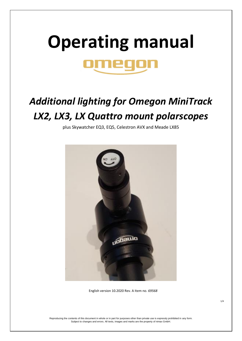## **Operating manual**

## *Additional lighting for Omegon MiniTrack LX2, LX3, LX Quattro mount polarscopes*

plus Skywatcher EQ3, EQ5, Celestron AVX and Meade LX85



English version 10.2020 Rev. A Item no. *69568*

Reproducing the contents of this document in whole or in part for purposes other than private use is expressly prohibited in any form. Subject to changes and errors. All texts, images and marks are the property of nimax GmbH.

1/4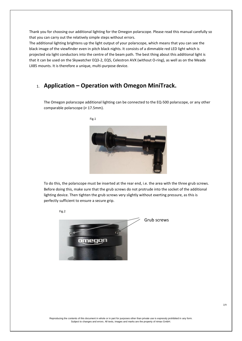Thank you for choosing our additional lighting for the Omegon polarscope. Please read this manual carefully so that you can carry out the relatively simple steps without errors.

The additional lighting brightens up the light output of your polarscope, which means that you can see the black image of the viewfinder even in pitch black nights. It consists of a dimmable red LED light which is projected via light conductors into the centre of the beam path. The best thing about this additional light is that it can be used on the Skywatcher EQ3-2, EQ5, Celestron AVX (without O-ring), as well as on the Meade LX85 mounts. It is therefore a unique, multi-purpose device.

## 1. **Application – Operation with Omegon MiniTrack.**

Fig.1

The Omegon polarscope additional lighting can be connected to the EQ-500 polarscope, or any other comparable polarscope (⌀ 17.5mm).



To do this, the polarscope must be inserted at the rear end, i.e. the area with the three grub screws. Before doing this, make sure that the grub screws do not protrude into the socket of the additional lighting device. Then tighten the grub screws very slightly without exerting pressure, as this is perfectly sufficient to ensure a secure grip.



Reproducing the contents of this document in whole or in part for purposes other than private use is expressly prohibited in any form. Subject to changes and errors. All texts, images and marks are the property of nimax GmbH.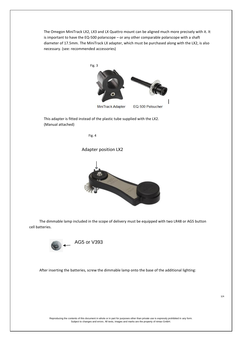The Omegon MiniTrack LX2, LX3 and LX Quattro mount can be aligned much more precisely with it. It is important to have the EQ-500 polarscope – or any other comparable polarscope with a shaft diameter of 17.5mm. The MiniTrack LX adapter, which must be purchased along with the LX2, is also necessary. (see: recommended accessories)



This adapter is fitted instead of the plastic tube supplied with the LX2. (Manual attached)



Adapter position LX2



 The dimmable lamp included in the scope of delivery must be equipped with two LR48 or AG5 button cell batteries.



After inserting the batteries, screw the dimmable lamp onto the base of the additional lighting:

Reproducing the contents of this document in whole or in part for purposes other than private use is expressly prohibited in any form. Subject to changes and errors. All texts, images and marks are the property of nimax GmbH.